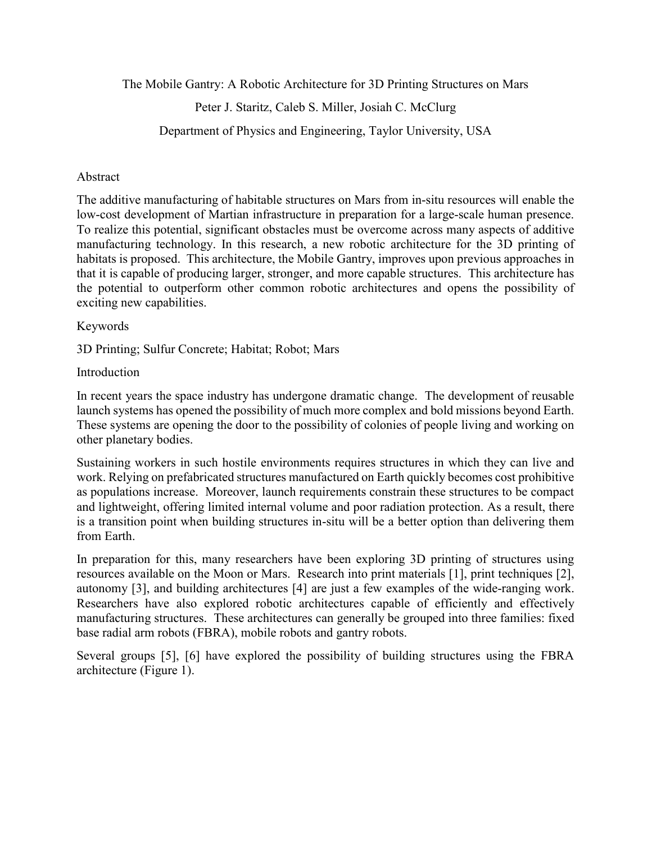The Mobile Gantry: A Robotic Architecture for 3D Printing Structures on Mars

Peter J. Staritz, Caleb S. Miller, Josiah C. McClurg

Department of Physics and Engineering, Taylor University, USA

#### Abstract

The additive manufacturing of habitable structures on Mars from in-situ resources will enable the low-cost development of Martian infrastructure in preparation for a large-scale human presence. To realize this potential, significant obstacles must be overcome across many aspects of additive manufacturing technology. In this research, a new robotic architecture for the 3D printing of habitats is proposed. This architecture, the Mobile Gantry, improves upon previous approaches in that it is capable of producing larger, stronger, and more capable structures. This architecture has the potential to outperform other common robotic architectures and opens the possibility of exciting new capabilities.

#### Keywords

3D Printing; Sulfur Concrete; Habitat; Robot; Mars

Introduction

In recent years the space industry has undergone dramatic change. The development of reusable launch systems has opened the possibility of much more complex and bold missions beyond Earth. These systems are opening the door to the possibility of colonies of people living and working on other planetary bodies.

Sustaining workers in such hostile environments requires structures in which they can live and work. Relying on prefabricated structures manufactured on Earth quickly becomes cost prohibitive as populations increase. Moreover, launch requirements constrain these structures to be compact and lightweight, offering limited internal volume and poor radiation protection. As a result, there is a transition point when building structures in-situ will be a better option than delivering them from Earth.

In preparation for this, many researchers have been exploring 3D printing of structures using resources available on the Moon or Mars. Research into print materials [1], print techniques [2], autonomy [3], and building architectures [4] are just a few examples of the wide-ranging work. Researchers have also explored robotic architectures capable of efficiently and effectively manufacturing structures. These architectures can generally be grouped into three families: fixed base radial arm robots (FBRA), mobile robots and gantry robots.

Several groups [5], [6] have explored the possibility of building structures using the FBRA architecture (Figure 1).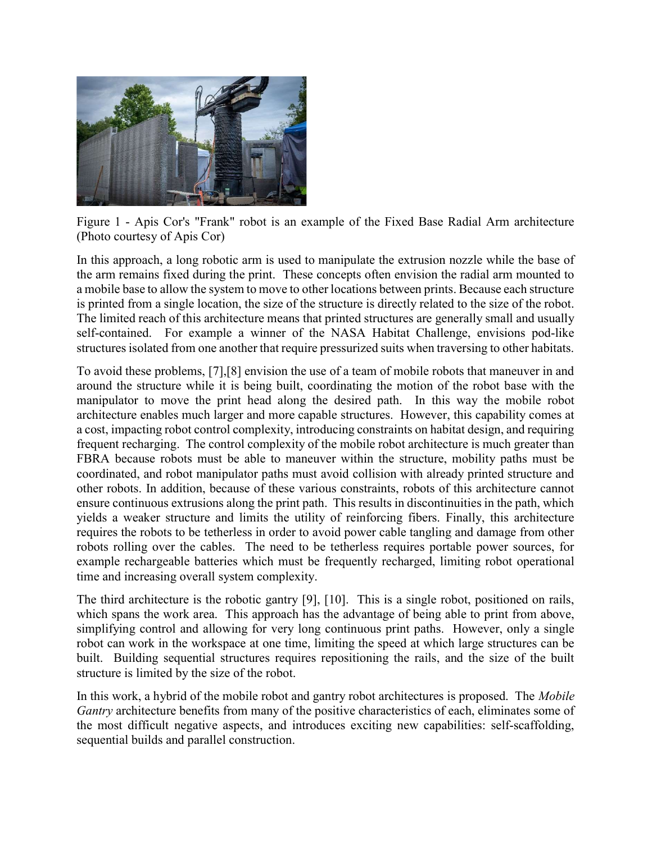

Figure 1 - Apis Cor's "Frank" robot is an example of the Fixed Base Radial Arm architecture (Photo courtesy of Apis Cor)

In this approach, a long robotic arm is used to manipulate the extrusion nozzle while the base of the arm remains fixed during the print. These concepts often envision the radial arm mounted to a mobile base to allow the system to move to other locations between prints. Because each structure is printed from a single location, the size of the structure is directly related to the size of the robot. The limited reach of this architecture means that printed structures are generally small and usually self-contained. For example a winner of the NASA Habitat Challenge, envisions pod-like structures isolated from one another that require pressurized suits when traversing to other habitats.

To avoid these problems, [7],[8] envision the use of a team of mobile robots that maneuver in and around the structure while it is being built, coordinating the motion of the robot base with the manipulator to move the print head along the desired path. In this way the mobile robot architecture enables much larger and more capable structures. However, this capability comes at a cost, impacting robot control complexity, introducing constraints on habitat design, and requiring frequent recharging. The control complexity of the mobile robot architecture is much greater than FBRA because robots must be able to maneuver within the structure, mobility paths must be coordinated, and robot manipulator paths must avoid collision with already printed structure and other robots. In addition, because of these various constraints, robots of this architecture cannot ensure continuous extrusions along the print path. This results in discontinuities in the path, which yields a weaker structure and limits the utility of reinforcing fibers. Finally, this architecture requires the robots to be tetherless in order to avoid power cable tangling and damage from other robots rolling over the cables. The need to be tetherless requires portable power sources, for example rechargeable batteries which must be frequently recharged, limiting robot operational time and increasing overall system complexity.

The third architecture is the robotic gantry [9], [10]. This is a single robot, positioned on rails, which spans the work area. This approach has the advantage of being able to print from above, simplifying control and allowing for very long continuous print paths. However, only a single robot can work in the workspace at one time, limiting the speed at which large structures can be built. Building sequential structures requires repositioning the rails, and the size of the built structure is limited by the size of the robot.

In this work, a hybrid of the mobile robot and gantry robot architectures is proposed. The Mobile Gantry architecture benefits from many of the positive characteristics of each, eliminates some of the most difficult negative aspects, and introduces exciting new capabilities: self-scaffolding, sequential builds and parallel construction.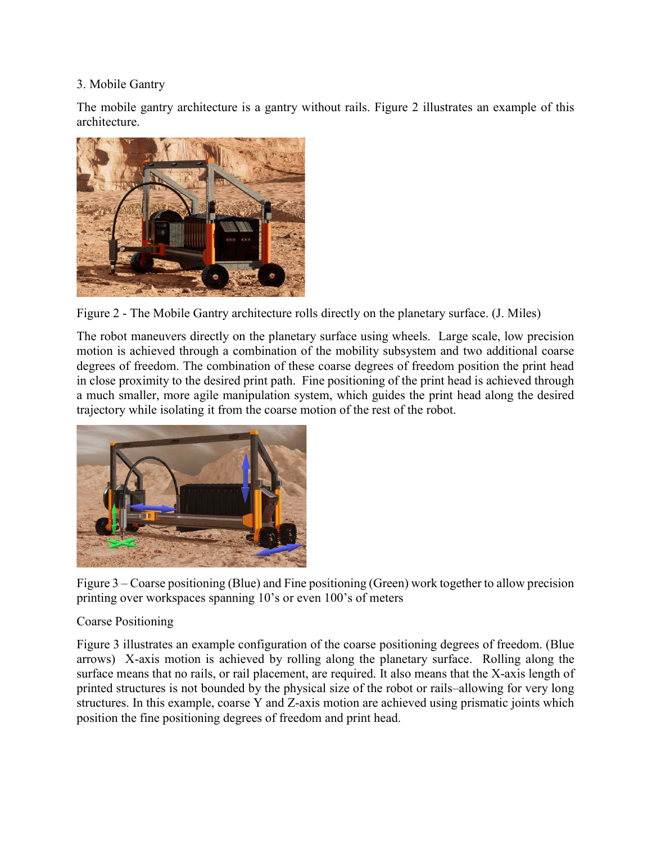## 3. Mobile Gantry

The mobile gantry architecture is a gantry without rails. Figure 2 illustrates an example of this architecture.



Figure 2 - The Mobile Gantry architecture rolls directly on the planetary surface. (J. Miles)

The robot maneuvers directly on the planetary surface using wheels. Large scale, low precision motion is achieved through a combination of the mobility subsystem and two additional coarse degrees of freedom. The combination of these coarse degrees of freedom position the print head in close proximity to the desired print path. Fine positioning of the print head is achieved through a much smaller, more agile manipulation system, which guides the print head along the desired trajectory while isolating it from the coarse motion of the rest of the robot.



Figure 3 – Coarse positioning (Blue) and Fine positioning (Green) work together to allow precision printing over workspaces spanning 10's or even 100's of meters

# Coarse Positioning

Figure 3 illustrates an example configuration of the coarse positioning degrees of freedom. (Blue arrows) X-axis motion is achieved by rolling along the planetary surface. Rolling along the surface means that no rails, or rail placement, are required. It also means that the X-axis length of printed structures is not bounded by the physical size of the robot or rails–allowing for very long structures. In this example, coarse Y and Z-axis motion are achieved using prismatic joints which position the fine positioning degrees of freedom and print head.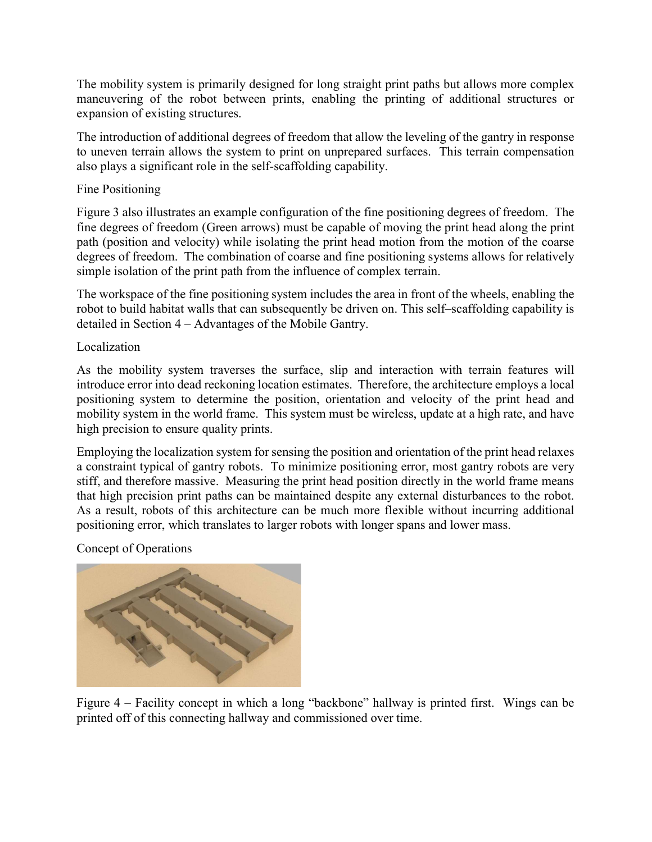The mobility system is primarily designed for long straight print paths but allows more complex maneuvering of the robot between prints, enabling the printing of additional structures or expansion of existing structures.

The introduction of additional degrees of freedom that allow the leveling of the gantry in response to uneven terrain allows the system to print on unprepared surfaces. This terrain compensation also plays a significant role in the self-scaffolding capability.

### Fine Positioning

Figure 3 also illustrates an example configuration of the fine positioning degrees of freedom. The fine degrees of freedom (Green arrows) must be capable of moving the print head along the print path (position and velocity) while isolating the print head motion from the motion of the coarse degrees of freedom. The combination of coarse and fine positioning systems allows for relatively simple isolation of the print path from the influence of complex terrain.

The workspace of the fine positioning system includes the area in front of the wheels, enabling the robot to build habitat walls that can subsequently be driven on. This self–scaffolding capability is detailed in Section 4 – Advantages of the Mobile Gantry.

Localization

As the mobility system traverses the surface, slip and interaction with terrain features will introduce error into dead reckoning location estimates. Therefore, the architecture employs a local positioning system to determine the position, orientation and velocity of the print head and mobility system in the world frame. This system must be wireless, update at a high rate, and have high precision to ensure quality prints.

Employing the localization system for sensing the position and orientation of the print head relaxes a constraint typical of gantry robots. To minimize positioning error, most gantry robots are very stiff, and therefore massive. Measuring the print head position directly in the world frame means that high precision print paths can be maintained despite any external disturbances to the robot. As a result, robots of this architecture can be much more flexible without incurring additional positioning error, which translates to larger robots with longer spans and lower mass.

Concept of Operations



Figure 4 – Facility concept in which a long "backbone" hallway is printed first. Wings can be printed off of this connecting hallway and commissioned over time.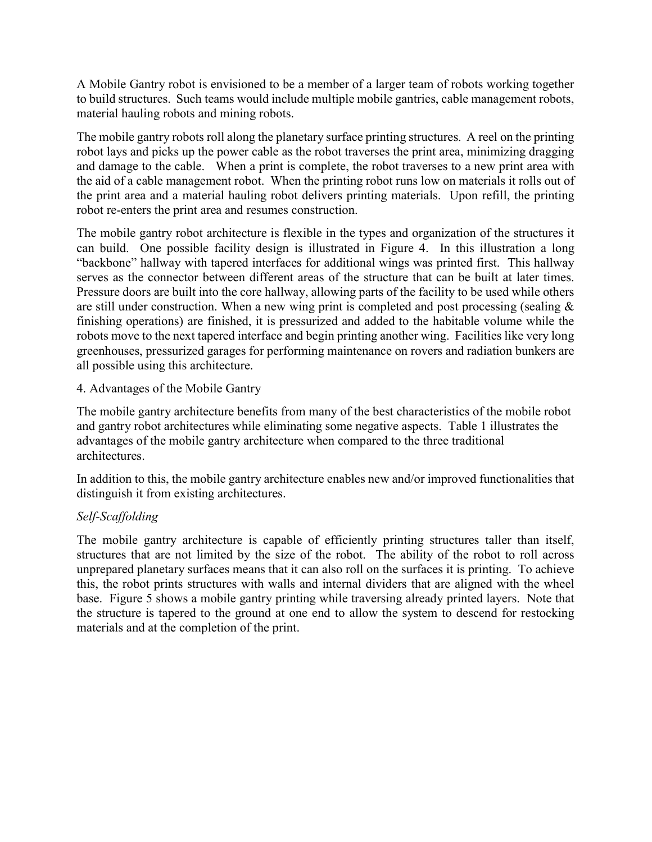A Mobile Gantry robot is envisioned to be a member of a larger team of robots working together to build structures. Such teams would include multiple mobile gantries, cable management robots, material hauling robots and mining robots.

The mobile gantry robots roll along the planetary surface printing structures. A reel on the printing robot lays and picks up the power cable as the robot traverses the print area, minimizing dragging and damage to the cable. When a print is complete, the robot traverses to a new print area with the aid of a cable management robot. When the printing robot runs low on materials it rolls out of the print area and a material hauling robot delivers printing materials. Upon refill, the printing robot re-enters the print area and resumes construction.

The mobile gantry robot architecture is flexible in the types and organization of the structures it can build. One possible facility design is illustrated in Figure 4. In this illustration a long "backbone" hallway with tapered interfaces for additional wings was printed first. This hallway serves as the connector between different areas of the structure that can be built at later times. Pressure doors are built into the core hallway, allowing parts of the facility to be used while others are still under construction. When a new wing print is completed and post processing (sealing  $\&$ finishing operations) are finished, it is pressurized and added to the habitable volume while the robots move to the next tapered interface and begin printing another wing. Facilities like very long greenhouses, pressurized garages for performing maintenance on rovers and radiation bunkers are all possible using this architecture.

#### 4. Advantages of the Mobile Gantry

The mobile gantry architecture benefits from many of the best characteristics of the mobile robot and gantry robot architectures while eliminating some negative aspects. Table 1 illustrates the advantages of the mobile gantry architecture when compared to the three traditional architectures.

In addition to this, the mobile gantry architecture enables new and/or improved functionalities that distinguish it from existing architectures.

## Self-Scaffolding

The mobile gantry architecture is capable of efficiently printing structures taller than itself, structures that are not limited by the size of the robot. The ability of the robot to roll across unprepared planetary surfaces means that it can also roll on the surfaces it is printing. To achieve this, the robot prints structures with walls and internal dividers that are aligned with the wheel base. Figure 5 shows a mobile gantry printing while traversing already printed layers. Note that the structure is tapered to the ground at one end to allow the system to descend for restocking materials and at the completion of the print.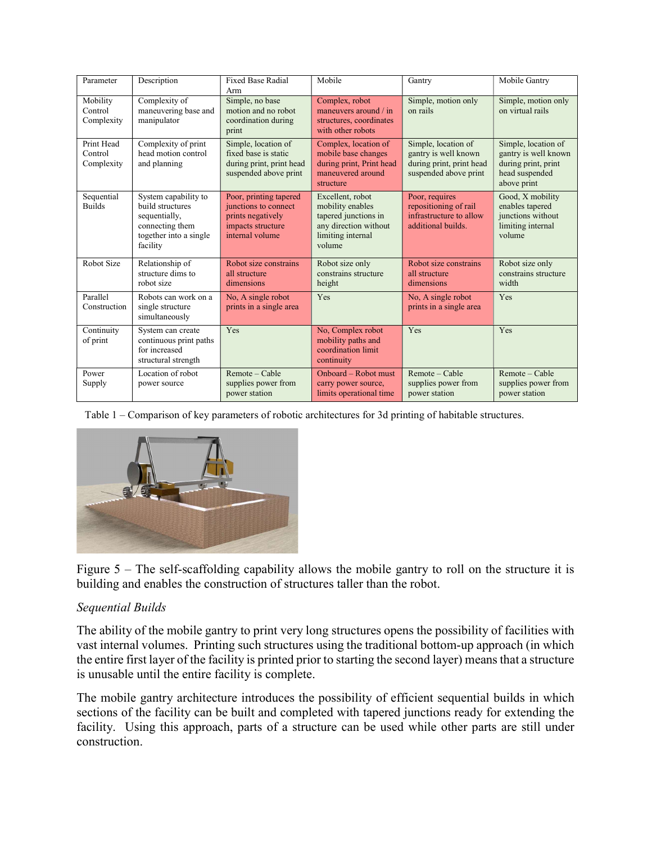| Parameter                           | Description                                                                                                        | <b>Fixed Base Radial</b><br>Arm                                                                             | Mobile                                                                                                               | Gantry                                                                                           | Mobile Gantry                                                                                       |
|-------------------------------------|--------------------------------------------------------------------------------------------------------------------|-------------------------------------------------------------------------------------------------------------|----------------------------------------------------------------------------------------------------------------------|--------------------------------------------------------------------------------------------------|-----------------------------------------------------------------------------------------------------|
| Mobility<br>Control<br>Complexity   | Complexity of<br>maneuvering base and<br>manipulator                                                               | Simple, no base<br>motion and no robot<br>coordination during<br>print                                      | Complex, robot<br>maneuvers around $\frac{1}{n}$<br>structures, coordinates<br>with other robots                     | Simple, motion only<br>on rails                                                                  | Simple, motion only<br>on virtual rails                                                             |
| Print Head<br>Control<br>Complexity | Complexity of print<br>head motion control<br>and planning                                                         | Simple, location of<br>fixed base is static<br>during print, print head<br>suspended above print            | Complex, location of<br>mobile base changes<br>during print, Print head<br>maneuvered around<br>structure            | Simple, location of<br>gantry is well known<br>during print, print head<br>suspended above print | Simple, location of<br>gantry is well known<br>during print, print<br>head suspended<br>above print |
| Sequential<br><b>Builds</b>         | System capability to<br>build structures<br>sequentially,<br>connecting them<br>together into a single<br>facility | Poor, printing tapered<br>junctions to connect<br>prints negatively<br>impacts structure<br>internal volume | Excellent, robot<br>mobility enables<br>tapered junctions in<br>any direction without<br>limiting internal<br>volume | Poor, requires<br>repositioning of rail<br>infrastructure to allow<br>additional builds.         | Good, X mobility<br>enables tapered<br>junctions without<br>limiting internal<br>volume             |
| Robot Size                          | Relationship of<br>structure dims to<br>robot size                                                                 | Robot size constrains<br>all structure<br>dimensions                                                        | Robot size only<br>constrains structure<br>height                                                                    | Robot size constrains<br>all structure<br>dimensions                                             | Robot size only<br>constrains structure<br>width                                                    |
| Parallel<br>Construction            | Robots can work on a<br>single structure<br>simultaneously                                                         | No, A single robot<br>prints in a single area                                                               | Yes                                                                                                                  | No, A single robot<br>prints in a single area                                                    | Yes                                                                                                 |
| Continuity<br>of print              | System can create<br>continuous print paths<br>for increased<br>structural strength                                | Yes                                                                                                         | No, Complex robot<br>mobility paths and<br>coordination limit<br>continuity                                          | Yes                                                                                              | Yes                                                                                                 |
| Power<br>Supply                     | Location of robot<br>power source                                                                                  | Remote - Cable<br>supplies power from<br>power station                                                      | Onboard – Robot must<br>carry power source,<br>limits operational time                                               | Remote - Cable<br>supplies power from<br>power station                                           | Remote - Cable<br>supplies power from<br>power station                                              |

Table 1 – Comparison of key parameters of robotic architectures for 3d printing of habitable structures.



Figure 5 – The self-scaffolding capability allows the mobile gantry to roll on the structure it is building and enables the construction of structures taller than the robot.

## Sequential Builds

The ability of the mobile gantry to print very long structures opens the possibility of facilities with vast internal volumes. Printing such structures using the traditional bottom-up approach (in which the entire first layer of the facility is printed prior to starting the second layer) means that a structure is unusable until the entire facility is complete.

The mobile gantry architecture introduces the possibility of efficient sequential builds in which sections of the facility can be built and completed with tapered junctions ready for extending the facility. Using this approach, parts of a structure can be used while other parts are still under construction.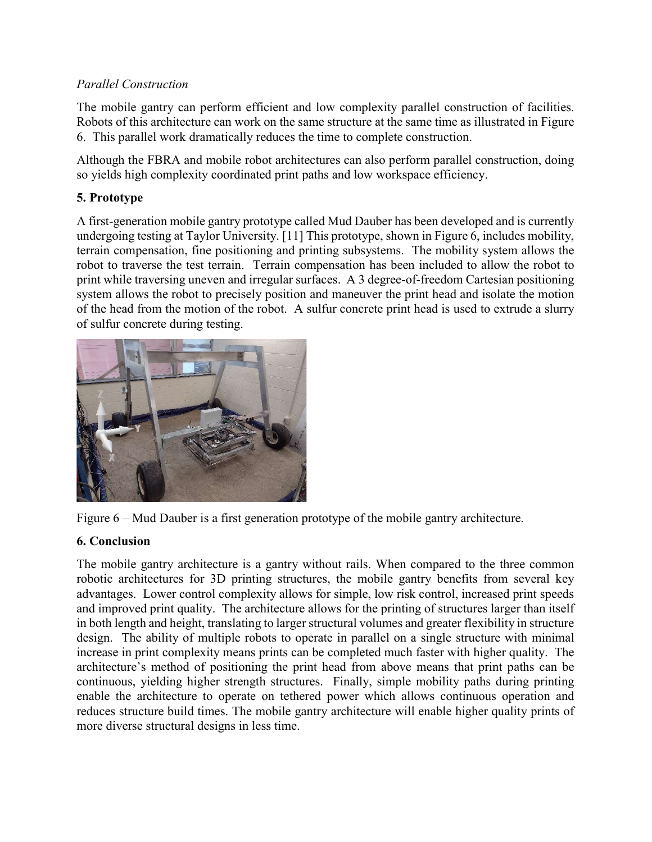# Parallel Construction

The mobile gantry can perform efficient and low complexity parallel construction of facilities. Robots of this architecture can work on the same structure at the same time as illustrated in Figure 6. This parallel work dramatically reduces the time to complete construction.

Although the FBRA and mobile robot architectures can also perform parallel construction, doing so yields high complexity coordinated print paths and low workspace efficiency.

# 5. Prototype

A first-generation mobile gantry prototype called Mud Dauber has been developed and is currently undergoing testing at Taylor University. [11] This prototype, shown in Figure 6, includes mobility, terrain compensation, fine positioning and printing subsystems. The mobility system allows the robot to traverse the test terrain. Terrain compensation has been included to allow the robot to print while traversing uneven and irregular surfaces. A 3 degree-of-freedom Cartesian positioning system allows the robot to precisely position and maneuver the print head and isolate the motion of the head from the motion of the robot. A sulfur concrete print head is used to extrude a slurry of sulfur concrete during testing.





# 6. Conclusion

The mobile gantry architecture is a gantry without rails. When compared to the three common robotic architectures for 3D printing structures, the mobile gantry benefits from several key advantages. Lower control complexity allows for simple, low risk control, increased print speeds and improved print quality. The architecture allows for the printing of structures larger than itself in both length and height, translating to larger structural volumes and greater flexibility in structure design. The ability of multiple robots to operate in parallel on a single structure with minimal increase in print complexity means prints can be completed much faster with higher quality. The architecture's method of positioning the print head from above means that print paths can be continuous, yielding higher strength structures. Finally, simple mobility paths during printing enable the architecture to operate on tethered power which allows continuous operation and reduces structure build times. The mobile gantry architecture will enable higher quality prints of more diverse structural designs in less time.